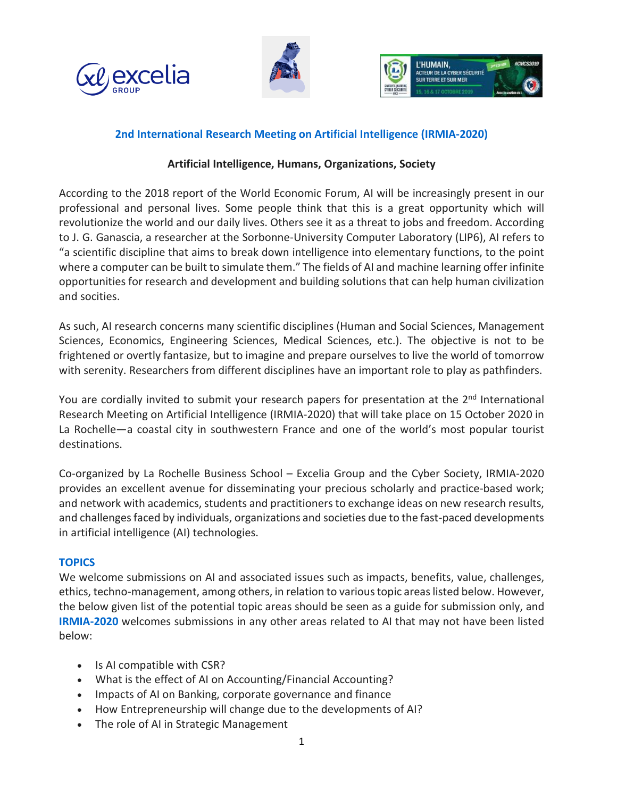





## **2nd International Research Meeting on Artificial Intelligence (IRMIA-2020)**

## **Artificial Intelligence, Humans, Organizations, Society**

According to the 2018 report of the World Economic Forum, AI will be increasingly present in our professional and personal lives. Some people think that this is a great opportunity which will revolutionize the world and our daily lives. Others see it as a threat to jobs and freedom. According to J. G. Ganascia, a researcher at the Sorbonne-University Computer Laboratory (LIP6), AI refers to "a scientific discipline that aims to break down intelligence into elementary functions, to the point where a computer can be built to simulate them." The fields of AI and machine learning offer infinite opportunities for research and development and building solutions that can help human civilization and socities.

As such, AI research concerns many scientific disciplines (Human and Social Sciences, Management Sciences, Economics, Engineering Sciences, Medical Sciences, etc.). The objective is not to be frightened or overtly fantasize, but to imagine and prepare ourselves to live the world of tomorrow with serenity. Researchers from different disciplines have an important role to play as pathfinders.

You are cordially invited to submit your research papers for presentation at the 2<sup>nd</sup> International Research Meeting on Artificial Intelligence (IRMIA-2020) that will take place on 15 October 2020 in La Rochelle—a coastal city in southwestern France and one of the world's most popular tourist destinations.

Co-organized by La Rochelle Business School – Excelia Group and the Cyber Society, IRMIA-2020 provides an excellent avenue for disseminating your precious scholarly and practice-based work; and network with academics, students and practitionersto exchange ideas on new research results, and challengesfaced by individuals, organizations and societies due to the fast-paced developments in artificial intelligence (AI) technologies.

## **TOPICS**

We welcome submissions on AI and associated issues such as impacts, benefits, value, challenges, ethics, techno-management, among others, in relation to varioustopic areaslisted below. However, the below given list of the potential topic areas should be seen as a guide for submission only, and **IRMIA-2020** welcomes submissions in any other areas related to AI that may not have been listed below:

- Is AI compatible with CSR?
- What is the effect of AI on Accounting/Financial Accounting?
- Impacts of AI on Banking, corporate governance and finance
- How Entrepreneurship will change due to the developments of AI?
- The role of AI in Strategic Management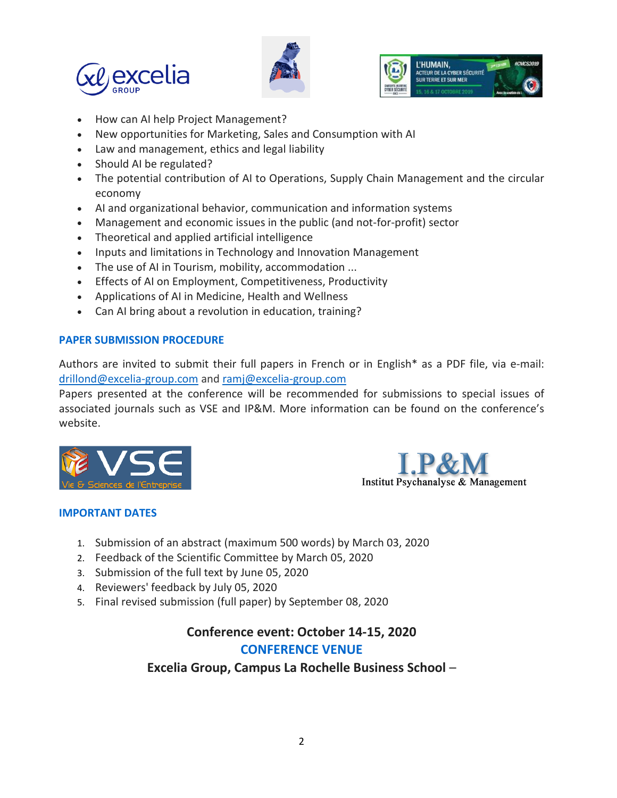





- How can AI help Project Management?
- New opportunities for Marketing, Sales and Consumption with AI
- Law and management, ethics and legal liability
- Should AI be regulated?
- The potential contribution of AI to Operations, Supply Chain Management and the circular economy
- AI and organizational behavior, communication and information systems
- Management and economic issues in the public (and not-for-profit) sector
- Theoretical and applied artificial intelligence
- Inputs and limitations in Technology and Innovation Management
- The use of AI in Tourism, mobility, accommodation ...
- Effects of AI on Employment, Competitiveness, Productivity
- Applications of AI in Medicine, Health and Wellness
- Can AI bring about a revolution in education, training?

## **PAPER SUBMISSION PROCEDURE**

Authors are invited to submit their full papers in French or in English\* as a PDF file, via e-mail: [drillond@excelia-group.com](mailto:drillond@excelia-group.com) an[d ramj@excelia-group.com](mailto:ramj@excelia-group.com)

Papers presented at the conference will be recommended for submissions to special issues of associated journals such as VSE and IP&M. More information can be found on the conference's website.





## **IMPORTANT DATES**

- 1. Submission of an abstract (maximum 500 words) by March 03, 2020
- 2. Feedback of the Scientific Committee by March 05, 2020
- 3. Submission of the full text by June 05, 2020
- 4. Reviewers' feedback by July 05, 2020
- 5. Final revised submission (full paper) by September 08, 2020

# **Conference event: October 14-15, 2020 CONFERENCE VENUE**

## **Excelia Group, Campus La Rochelle Business School** –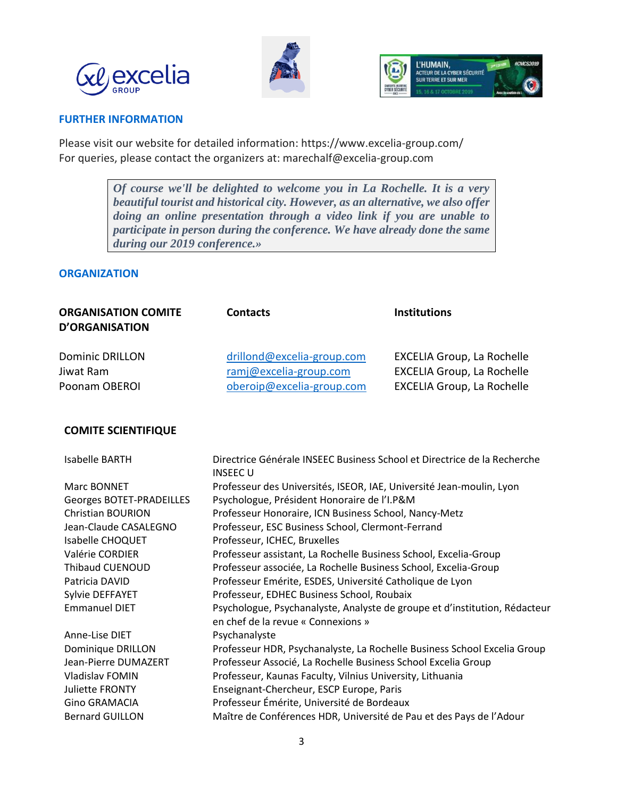





### **FURTHER INFORMATION**

Please visit our website for detailed information: <https://www.excelia-group.com/> For queries, please contact the organizers at: [marechalf@excelia-group.com](mailto:marechalf@excelia-group.com) 

> *Of course we'll be delighted to welcome you in La Rochelle. It is a very beautiful tourist and historical city. However, as an alternative, we also offer doing an online presentation through a video link if you are unable to participate in person during the conference. We have already done the same during our 2019 conference.»*

### **ORGANIZATION**

| <b>ORGANISATION COMITE</b><br><b>D'ORGANISATION</b> | <b>Contacts</b>            | <b>Institutions</b>               |
|-----------------------------------------------------|----------------------------|-----------------------------------|
| <b>Dominic DRILLON</b>                              | drillond@excelia-group.com | <b>EXCELIA Group, La Rochelle</b> |
| Jiwat Ram                                           | ramj@excelia-group.com     | <b>EXCELIA Group, La Rochelle</b> |
| Poonam OBEROI                                       | oberoip@excelia-group.com  | <b>EXCELIA Group, La Rochelle</b> |

### **COMITE SCIENTIFIQUE**

| Isabelle BARTH           | Directrice Générale INSEEC Business School et Directrice de la Recherche<br><b>INSEECU</b>                       |
|--------------------------|------------------------------------------------------------------------------------------------------------------|
| Marc BONNET              | Professeur des Universités, ISEOR, IAE, Université Jean-moulin, Lyon                                             |
| Georges BOTET-PRADEILLES | Psychologue, Président Honoraire de l'I.P&M                                                                      |
| <b>Christian BOURION</b> | Professeur Honoraire, ICN Business School, Nancy-Metz                                                            |
| Jean-Claude CASALEGNO    | Professeur, ESC Business School, Clermont-Ferrand                                                                |
| Isabelle CHOQUET         | Professeur, ICHEC, Bruxelles                                                                                     |
| Valérie CORDIER          | Professeur assistant, La Rochelle Business School, Excelia-Group                                                 |
| Thibaud CUENOUD          | Professeur associée, La Rochelle Business School, Excelia-Group                                                  |
| Patricia DAVID           | Professeur Emérite, ESDES, Université Catholique de Lyon                                                         |
| Sylvie DEFFAYET          | Professeur, EDHEC Business School, Roubaix                                                                       |
| <b>Emmanuel DIET</b>     | Psychologue, Psychanalyste, Analyste de groupe et d'institution, Rédacteur<br>en chef de la revue « Connexions » |
| Anne-Lise DIET           | Psychanalyste                                                                                                    |
| Dominique DRILLON        | Professeur HDR, Psychanalyste, La Rochelle Business School Excelia Group                                         |
| Jean-Pierre DUMAZERT     | Professeur Associé, La Rochelle Business School Excelia Group                                                    |
| Vladislav FOMIN          | Professeur, Kaunas Faculty, Vilnius University, Lithuania                                                        |
| <b>Juliette FRONTY</b>   | Enseignant-Chercheur, ESCP Europe, Paris                                                                         |
| <b>Gino GRAMACIA</b>     | Professeur Émérite, Université de Bordeaux                                                                       |
| <b>Bernard GUILLON</b>   | Maître de Conférences HDR, Université de Pau et des Pays de l'Adour                                              |